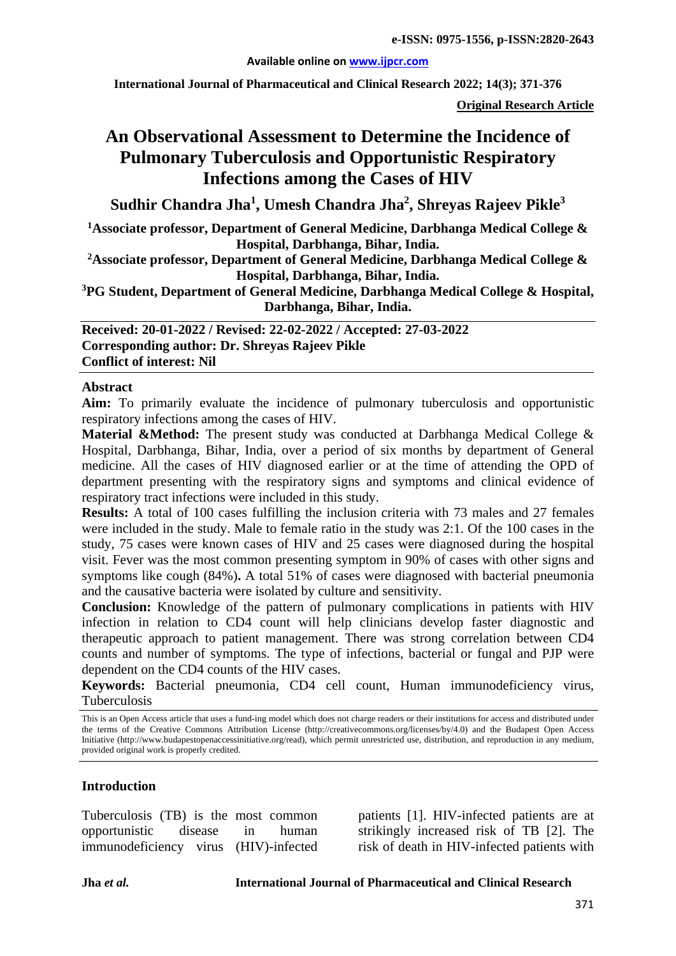### **Available online on [www.ijpcr.com](http://www.ijpcr.com/)**

**International Journal of Pharmaceutical and Clinical Research 2022; 14(3); 371-376**

**Original Research Article**

# **An Observational Assessment to Determine the Incidence of Pulmonary Tuberculosis and Opportunistic Respiratory Infections among the Cases of HIV**

**Sudhir Chandra Jha1 , Umesh Chandra Jha2 , Shreyas Rajeev Pikle3**

**1 Associate professor, Department of General Medicine, Darbhanga Medical College & Hospital, Darbhanga, Bihar, India.**

**2Associate professor, Department of General Medicine, Darbhanga Medical College & Hospital, Darbhanga, Bihar, India.**

**3 PG Student, Department of General Medicine, Darbhanga Medical College & Hospital, Darbhanga, Bihar, India.**

**Received: 20-01-2022 / Revised: 22-02-2022 / Accepted: 27-03-2022 Corresponding author: Dr. Shreyas Rajeev Pikle Conflict of interest: Nil**

#### **Abstract**

**Aim:** To primarily evaluate the incidence of pulmonary tuberculosis and opportunistic respiratory infections among the cases of HIV.

**Material &Method:** The present study was conducted at Darbhanga Medical College & Hospital, Darbhanga, Bihar, India, over a period of six months by department of General medicine. All the cases of HIV diagnosed earlier or at the time of attending the OPD of department presenting with the respiratory signs and symptoms and clinical evidence of respiratory tract infections were included in this study.

**Results:** A total of 100 cases fulfilling the inclusion criteria with 73 males and 27 females were included in the study. Male to female ratio in the study was 2:1. Of the 100 cases in the study, 75 cases were known cases of HIV and 25 cases were diagnosed during the hospital visit. Fever was the most common presenting symptom in 90% of cases with other signs and symptoms like cough (84%)**.** A total 51% of cases were diagnosed with bacterial pneumonia and the causative bacteria were isolated by culture and sensitivity.

**Conclusion:** Knowledge of the pattern of pulmonary complications in patients with HIV infection in relation to CD4 count will help clinicians develop faster diagnostic and therapeutic approach to patient management. There was strong correlation between CD4 counts and number of symptoms. The type of infections, bacterial or fungal and PJP were dependent on the CD4 counts of the HIV cases.

**Keywords:** Bacterial pneumonia, CD4 cell count, Human immunodeficiency virus, Tuberculosis

This is an Open Access article that uses a fund-ing model which does not charge readers or their institutions for access and distributed under the terms of the Creative Commons Attribution License (http://creativecommons.org/licenses/by/4.0) and the Budapest Open Access Initiative (http://www.budapestopenaccessinitiative.org/read), which permit unrestricted use, distribution, and reproduction in any medium, provided original work is properly credited.

## **Introduction**

Tuberculosis (TB) is the most common opportunistic disease in human immunodeficiency virus (HIV)-infected patients [1]. HIV-infected patients are at strikingly increased risk of TB [2]. The risk of death in HIV-infected patients with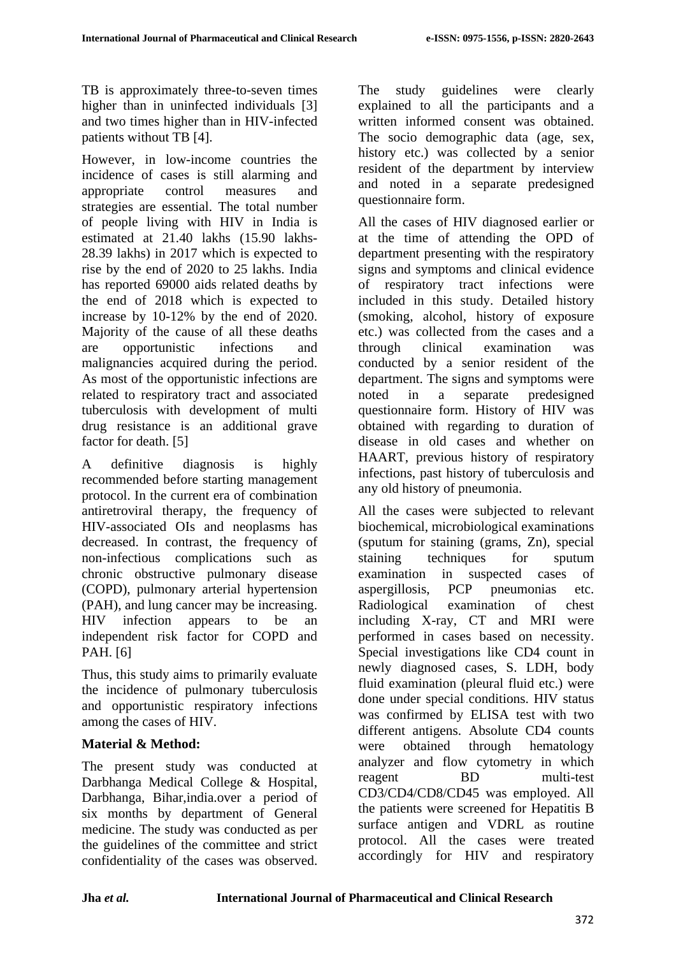TB is approximately three-to-seven times higher than in uninfected individuals [3] and two times higher than in HIV-infected patients without TB [4].

However, in low-income countries the incidence of cases is still alarming and appropriate control measures and strategies are essential. The total number of people living with HIV in India is estimated at 21.40 lakhs (15.90 lakhs-28.39 lakhs) in 2017 which is expected to rise by the end of 2020 to 25 lakhs. India has reported 69000 aids related deaths by the end of 2018 which is expected to increase by 10-12% by the end of 2020. Majority of the cause of all these deaths are opportunistic infections and malignancies acquired during the period. As most of the opportunistic infections are related to respiratory tract and associated tuberculosis with development of multi drug resistance is an additional grave factor for death. [5]

A definitive diagnosis is highly recommended before starting management protocol. In the current era of combination antiretroviral therapy, the frequency of HIV-associated OIs and neoplasms has decreased. In contrast, the frequency of non-infectious complications such as chronic obstructive pulmonary disease (COPD), pulmonary arterial hypertension (PAH), and lung cancer may be increasing. HIV infection appears to be an independent risk factor for COPD and PAH. [6]

Thus, this study aims to primarily evaluate the incidence of pulmonary tuberculosis and opportunistic respiratory infections among the cases of HIV.

## **Material & Method:**

The present study was conducted at Darbhanga Medical College & Hospital, Darbhanga, Bihar,india.over a period of six months by department of General medicine. The study was conducted as per the guidelines of the committee and strict confidentiality of the cases was observed. The study guidelines were clearly explained to all the participants and a written informed consent was obtained. The socio demographic data (age, sex, history etc.) was collected by a senior resident of the department by interview and noted in a separate predesigned questionnaire form.

All the cases of HIV diagnosed earlier or at the time of attending the OPD of department presenting with the respiratory signs and symptoms and clinical evidence of respiratory tract infections were included in this study. Detailed history (smoking, alcohol, history of exposure etc.) was collected from the cases and a through clinical examination was conducted by a senior resident of the department. The signs and symptoms were noted in a separate predesigned questionnaire form. History of HIV was obtained with regarding to duration of disease in old cases and whether on HAART, previous history of respiratory infections, past history of tuberculosis and any old history of pneumonia.

All the cases were subjected to relevant biochemical, microbiological examinations (sputum for staining (grams, Zn), special staining techniques for sputum examination in suspected cases of aspergillosis, PCP pneumonias etc. Radiological examination of chest including X-ray, CT and MRI were performed in cases based on necessity. Special investigations like CD4 count in newly diagnosed cases, S. LDH, body fluid examination (pleural fluid etc.) were done under special conditions. HIV status was confirmed by ELISA test with two different antigens. Absolute CD4 counts were obtained through hematology analyzer and flow cytometry in which reagent BD multi-test CD3/CD4/CD8/CD45 was employed. All the patients were screened for Hepatitis B surface antigen and VDRL as routine protocol. All the cases were treated accordingly for HIV and respiratory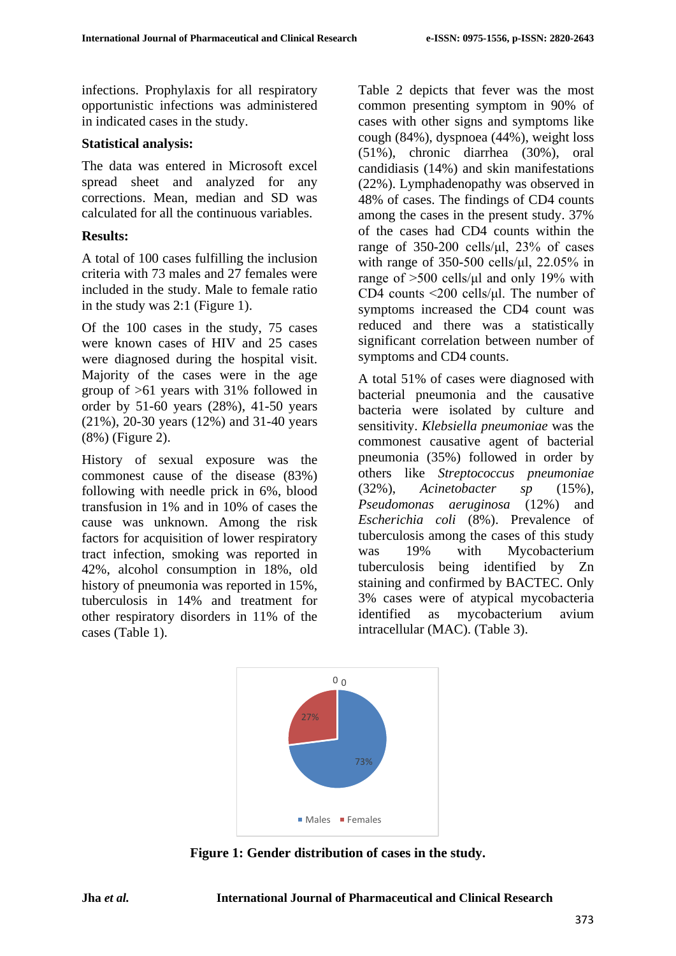infections. Prophylaxis for all respiratory opportunistic infections was administered in indicated cases in the study.

### **Statistical analysis:**

The data was entered in Microsoft excel spread sheet and analyzed for any corrections. Mean, median and SD was calculated for all the continuous variables.

## **Results:**

A total of 100 cases fulfilling the inclusion criteria with 73 males and 27 females were included in the study. Male to female ratio in the study was 2:1 (Figure 1).

Of the 100 cases in the study, 75 cases were known cases of HIV and 25 cases were diagnosed during the hospital visit. Majority of the cases were in the age group of >61 years with 31% followed in order by 51-60 years (28%), 41-50 years (21%), 20-30 years (12%) and 31-40 years (8%) (Figure 2).

History of sexual exposure was the commonest cause of the disease (83%) following with needle prick in 6%, blood transfusion in 1% and in 10% of cases the cause was unknown. Among the risk factors for acquisition of lower respiratory tract infection, smoking was reported in 42%, alcohol consumption in 18%, old history of pneumonia was reported in 15%, tuberculosis in 14% and treatment for other respiratory disorders in 11% of the cases (Table 1).

Table 2 depicts that fever was the most common presenting symptom in 90% of cases with other signs and symptoms like cough (84%), dyspnoea (44%), weight loss (51%), chronic diarrhea (30%), oral candidiasis (14%) and skin manifestations (22%). Lymphadenopathy was observed in 48% of cases. The findings of CD4 counts among the cases in the present study. 37% of the cases had CD4 counts within the range of  $350-200$  cells/μl,  $23\%$  of cases with range of 350-500 cells/ $\mu$ l, 22.05% in range of >500 cells/μl and only 19% with CD4 counts <200 cells/μl. The number of symptoms increased the CD4 count was reduced and there was a statistically significant correlation between number of symptoms and CD4 counts.

A total 51% of cases were diagnosed with bacterial pneumonia and the causative bacteria were isolated by culture and sensitivity. *Klebsiella pneumoniae* was the commonest causative agent of bacterial pneumonia (35%) followed in order by others like *Streptococcus pneumoniae*  (32%), *Acinetobacter sp* (15%), *Pseudomonas aeruginosa* (12%) and *Escherichia coli* (8%). Prevalence of tuberculosis among the cases of this study was 19% with Mycobacterium tuberculosis being identified by Zn staining and confirmed by BACTEC. Only 3% cases were of atypical mycobacteria identified as mycobacterium avium intracellular (MAC). (Table 3).



**Figure 1: Gender distribution of cases in the study.**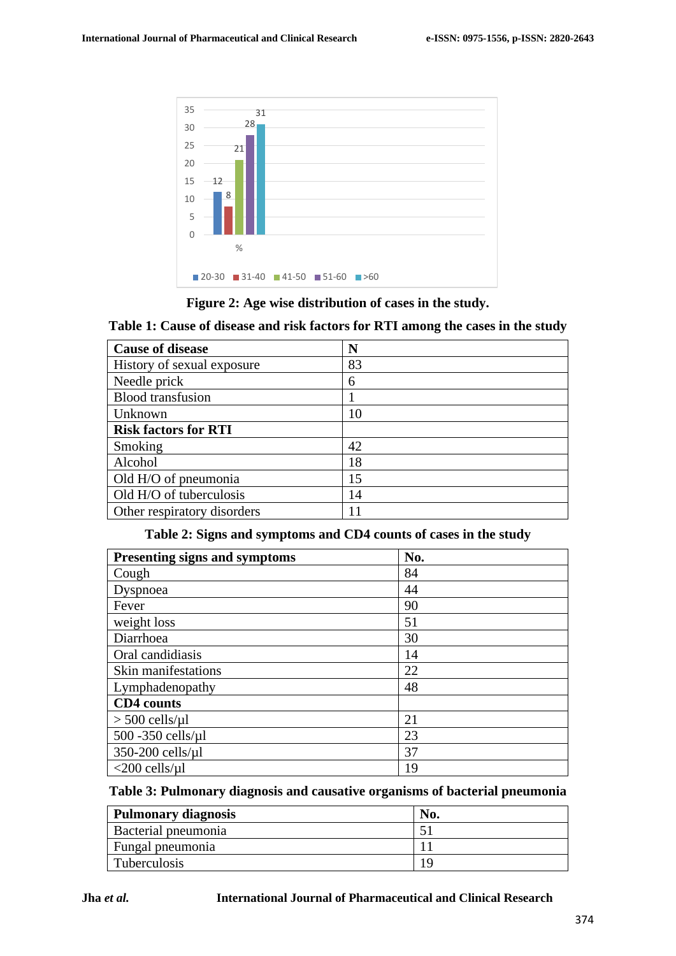



**Table 1: Cause of disease and risk factors for RTI among the cases in the study**

| <b>Cause of disease</b>     | N  |
|-----------------------------|----|
| History of sexual exposure  | 83 |
| Needle prick                | 6  |
| <b>Blood transfusion</b>    |    |
| Unknown                     | 10 |
| <b>Risk factors for RTI</b> |    |
| Smoking                     | 42 |
| Alcohol                     | 18 |
| Old H/O of pneumonia        | 15 |
| Old H/O of tuberculosis     | 14 |
| Other respiratory disorders | 11 |

### **Table 2: Signs and symptoms and CD4 counts of cases in the study**

| <b>Presenting signs and symptoms</b> | No. |
|--------------------------------------|-----|
| Cough                                | 84  |
| Dyspnoea                             | 44  |
| Fever                                | 90  |
| weight loss                          | 51  |
| Diarrhoea                            | 30  |
| Oral candidiasis                     | 14  |
| Skin manifestations                  | 22  |
| Lymphadenopathy                      | 48  |
| <b>CD4</b> counts                    |     |
| $> 500$ cells/ $\mu$ l               | 21  |
| $500 - 350$ cells/ $\mu$ l           | 23  |
| 350-200 cells/µl                     | 37  |
| $<$ 200 cells/ $\mu$ l               | 19  |

**Table 3: Pulmonary diagnosis and causative organisms of bacterial pneumonia**

| Pulmonary diagnosis |  |
|---------------------|--|
| Bacterial pneumonia |  |
| Fungal pneumonia    |  |
| Tuberculosis        |  |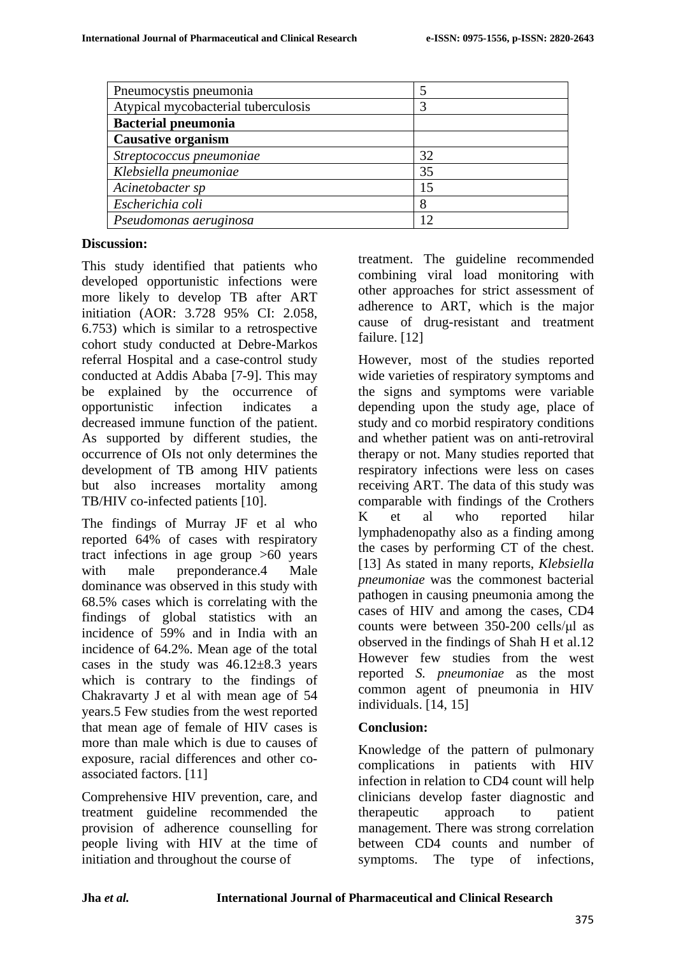| Pneumocystis pneumonia              |    |
|-------------------------------------|----|
| Atypical mycobacterial tuberculosis |    |
| <b>Bacterial pneumonia</b>          |    |
| <b>Causative organism</b>           |    |
| Streptococcus pneumoniae            | 32 |
| Klebsiella pneumoniae               | 35 |
| Acinetobacter sp                    | 15 |
| Escherichia coli                    | 8  |
| Pseudomonas aeruginosa              | 12 |

## **Discussion:**

This study identified that patients who developed opportunistic infections were more likely to develop TB after ART initiation (AOR: 3.728 95% CI: 2.058, 6.753) which is similar to a retrospective cohort study conducted at Debre-Markos referral Hospital and a case-control study conducted at Addis Ababa [7-9]. This may be explained by the occurrence of opportunistic infection indicates a decreased immune function of the patient. As supported by different studies, the occurrence of OIs not only determines the development of TB among HIV patients but also increases mortality among TB/HIV co-infected patients [10].

The findings of Murray JF et al who reported 64% of cases with respiratory tract infections in age group >60 years with male preponderance.4 Male dominance was observed in this study with 68.5% cases which is correlating with the findings of global statistics with an incidence of 59% and in India with an incidence of 64.2%. Mean age of the total cases in the study was  $46.12 \pm 8.3$  years which is contrary to the findings of Chakravarty J et al with mean age of 54 years.5 Few studies from the west reported that mean age of female of HIV cases is more than male which is due to causes of exposure, racial differences and other coassociated factors. [11]

Comprehensive HIV prevention, care, and treatment guideline recommended the provision of adherence counselling for people living with HIV at the time of initiation and throughout the course of

treatment. The guideline recommended combining viral load monitoring with other approaches for strict assessment of adherence to ART, which is the major cause of drug-resistant and treatment failure. [12]

However, most of the studies reported wide varieties of respiratory symptoms and the signs and symptoms were variable depending upon the study age, place of study and co morbid respiratory conditions and whether patient was on anti-retroviral therapy or not. Many studies reported that respiratory infections were less on cases receiving ART. The data of this study was comparable with findings of the Crothers K et al who reported hilar lymphadenopathy also as a finding among the cases by performing CT of the chest. [13] As stated in many reports, *Klebsiella pneumoniae* was the commonest bacterial pathogen in causing pneumonia among the cases of HIV and among the cases, CD4 counts were between 350-200 cells/μl as observed in the findings of Shah H et al.12 However few studies from the west reported *S. pneumoniae* as the most common agent of pneumonia in HIV individuals. [14, 15]

# **Conclusion:**

Knowledge of the pattern of pulmonary complications in patients with HIV infection in relation to CD4 count will help clinicians develop faster diagnostic and therapeutic approach to patient management. There was strong correlation between CD4 counts and number of symptoms. The type of infections,